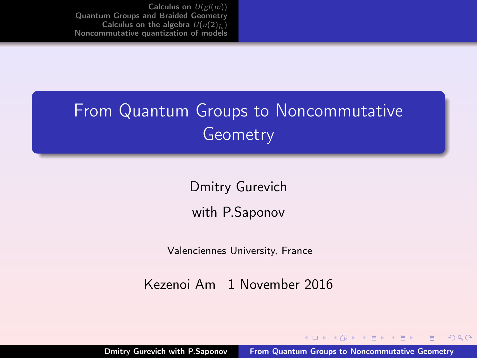<span id="page-0-0"></span>[Calculus on](#page-2-0)  $U(gl(m))$ [Quantum Groups and Braided Geometry](#page-13-0) [Calculus on the algebra](#page-32-0)  $U(u(2))_5$ [Noncommutative quantization of models](#page-41-0)

## From Quantum Groups to Noncommutative Geometry

Dmitry Gurevich with P.Saponov

Valenciennes University, France

Kezenoi Am 1 November 2016

 $(1, 1)$   $(1, 1)$   $(1, 1)$   $(1, 1)$   $(1, 1)$   $(1, 1)$ 

 $2Q$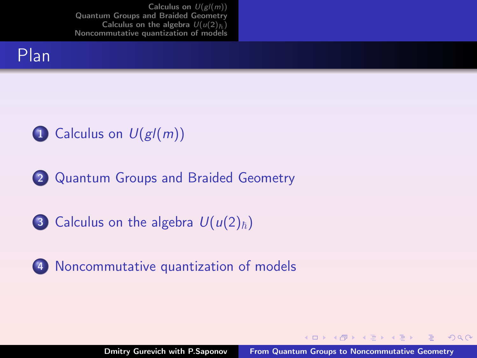[Calculus on](#page-2-0)  $U(gl(m))$ [Quantum Groups and Braided Geometry](#page-13-0) [Calculus on the algebra](#page-32-0)  $U(u(2))_5$ [Noncommutative quantization of models](#page-41-0)



## 1 [Calculus on](#page-2-0)  $U(gl(m))$

- 2 [Quantum Groups and Braided Geometry](#page-13-0)
- 3 [Calculus on the algebra](#page-32-0)  $U(u(2)_{\hbar})$
- 4 [Noncommutative quantization of models](#page-41-0)

 $(0,1)$   $(0,1)$   $(0,1)$   $(1,1)$   $(1,1)$ 

 $2Q$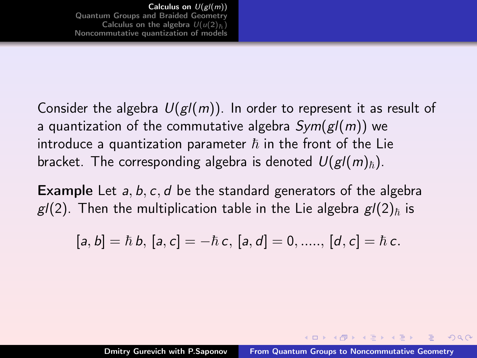<span id="page-2-0"></span>Consider the algebra  $U(gl(m))$ . In order to represent it as result of a quantization of the commutative algebra  $Sym(g/(m))$  we introduce a quantization parameter  $\hbar$  in the front of the Lie bracket. The corresponding algebra is denoted  $U(gl(m)_\hbar)$ .

**Example** Let  $a, b, c, d$  be the standard generators of the algebra  $g/2$ ). Then the multiplication table in the Lie algebra  $g/2)_h$  is

$$
[a, b] = \hbar b, [a, c] = -\hbar c, [a, d] = 0, \dots, [d, c] = \hbar c.
$$

 $(1, 1)$   $(1, 1)$   $(1, 1)$   $(1, 1)$   $(1, 1)$   $(1, 1)$   $(1, 1)$   $(1, 1)$   $(1, 1)$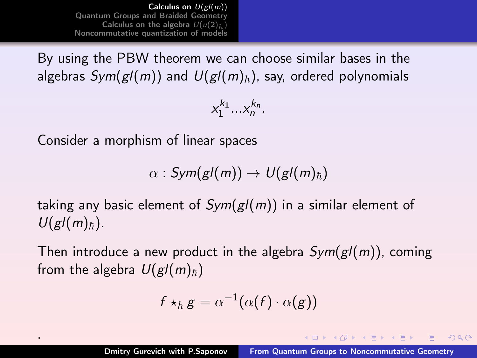[Calculus on](#page-2-0)  $U(gl(m))$ [Quantum Groups and Braided Geometry](#page-13-0) [Calculus on the algebra](#page-32-0)  $U(u(2))_5$ [Noncommutative quantization of models](#page-41-0)

By using the PBW theorem we can choose similar bases in the algebras  $Sym(g/(m))$  and  $U(g/(m)_{\hbar})$ , say, ordered polynomials

 $x_1^{k_1}...x_n^{k_n}.$ 

Consider a morphism of linear spaces

.

 $\alpha$  : Sym(gl(m))  $\rightarrow U(gl(m)<sub>\hbar</sub>)$ 

taking any basic element of  $Sym(g/(m))$  in a similar element of  $U(gl(m)<sub>h</sub>).$ 

Then introduce a new product in the algebra  $Sym(g/(m))$ , coming from the algebra  $U(gl(m)_\hbar)$ 

$$
f\star_{\hbar} g = \alpha^{-1}(\alpha(f)\cdot \alpha(g))
$$

 $OQ$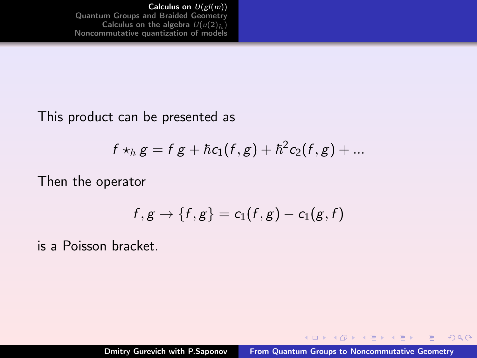[Calculus on](#page-2-0) U(gl(m)) [Quantum Groups and Braided Geometry](#page-13-0) [Calculus on the algebra](#page-32-0)  $U(u(2)_{\hbar})$ [Noncommutative quantization of models](#page-41-0)

#### This product can be presented as

$$
f\star_{\hbar}g=f\,g+\hbar c_1(f,g)+\hbar^2c_2(f,g)+...
$$

Then the operator

$$
f,g\rightarrow\{f,g\}=c_1(f,g)-c_1(g,f)
$$

is a Poisson bracket.

**K ロ ⊁ K 伊 ⊁ K ミ ⊁ K ミ ≯** 

 $2Q$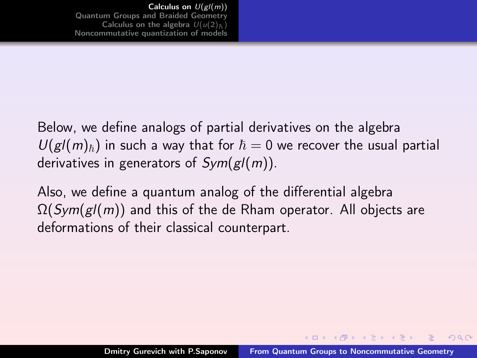### Below, we define analogs of partial derivatives on the algebra  $U(g/(m)_{\hbar})$  in such a way that for  $\hbar = 0$  we recover the usual partial derivatives in generators of  $Sym(g/(m))$ .

Also, we define a quantum analog of the differential algebra  $\Omega(Sym(g/(m))$  and this of the de Rham operator. All objects are deformations of their classical counterpart.

 $(1,1)$   $(1,1)$   $(1,1)$   $(1,1)$   $(1,1)$   $(1,1)$   $(1,1)$   $(1,1)$   $(1,1)$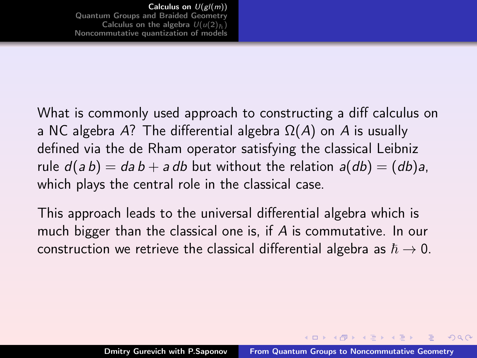What is commonly used approach to constructing a diff calculus on a NC algebra A? The differential algebra  $\Omega(A)$  on A is usually defined via the de Rham operator satisfying the classical Leibniz rule  $d(ab) = da b + a db$  but without the relation  $a(db) = (db)a$ , which plays the central role in the classical case.

This approach leads to the universal differential algebra which is much bigger than the classical one is, if A is commutative. In our construction we retrieve the classical differential algebra as  $\hbar \rightarrow 0$ .

イロメ イ母 トラ ミュース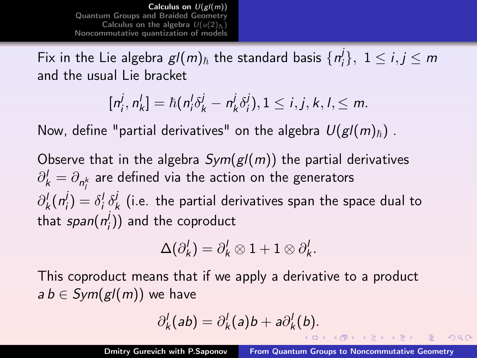[Calculus on](#page-2-0)  $U(gl(m))$ [Quantum Groups and Braided Geometry](#page-13-0) [Calculus on the algebra](#page-32-0)  $U(u(2))_5$ [Noncommutative quantization of models](#page-41-0)

Fix in the Lie algebra  $gl(m)_{\hbar}$  the standard basis  $\{n_i^{\hbar}\}$  $\{j\},\;1\leq i,j\leq m$ and the usual Lie bracket

$$
[n_i^j, n_k^l] = \hbar (n_i^j \delta_k^j - n_k^j \delta_i^j), 1 \leq i, j, k, l, \leq m.
$$

Now, define "partial derivatives" on the algebra  $U(gl(m)_{\hbar})$ .

Observe that in the algebra  $Sym(g/(m))$  the partial derivatives  $\partial_k^l = \partial_{n_l^k}$  are defined via the action on the generators  $\partial_k^l (n_i^j)$  $j_i^j$ ) =  $\delta_i^j \delta_j^j$  $\frac{1}{k}$  (i.e. the partial derivatives span the space dual to that  $span(\vec{n_i^j})$  $\binom{J}{i}$ ) and the coproduct

$$
\Delta(\partial_k^l)=\partial_k^l\otimes 1+1\otimes \partial_k^l.
$$

This coproduct means that if we apply a derivative to a product  $a b \in Sym(g/(m))$  we have

$$
\partial_k^l(ab)=\partial_k^l(a)b+a\partial_k^l(b).
$$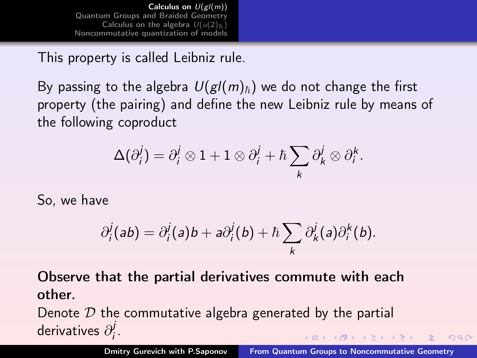[Calculus on](#page-2-0)  $U(gl(m))$ [Quantum Groups and Braided Geometry](#page-13-0) [Calculus on the algebra](#page-32-0)  $U(u(2))_5$ [Noncommutative quantization of models](#page-41-0)

This property is called Leibniz rule.

By passing to the algebra  $U(gl(m)_\hbar)$  we do not change the first property (the pairing) and define the new Leibniz rule by means of the following coproduct

$$
\Delta(\partial_i^j) = \partial_i^j \otimes 1 + 1 \otimes \partial_i^j + \hbar \sum_k \partial_k^j \otimes \partial_i^k.
$$

So, we have

$$
\partial_i^j(ab) = \partial_i^j(a)b + a\partial_i^j(b) + \hbar \sum_k \partial_k^j(a)\partial_i^k(b).
$$

Observe that the partial derivatives commute with each other.

Denote  $\mathcal D$  the commutative algebra generated by the partial derivatives  $\partial_i^j$ ı<br>i  $(1, 1)$   $(1, 1)$   $(1, 1)$   $(1, 1)$   $(1, 1)$   $(1, 1)$   $(1, 1)$   $(1, 1)$   $(1, 1)$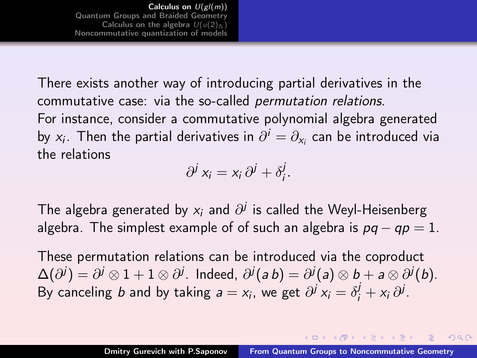[Calculus on](#page-2-0)  $U(gl(m))$ [Quantum Groups and Braided Geometry](#page-13-0) [Calculus on the algebra](#page-32-0)  $U(u(2))^{\frac{1}{k}}$ [Noncommutative quantization of models](#page-41-0)

There exists another way of introducing partial derivatives in the commutative case: via the so-called permutation relations. For instance, consider a commutative polynomial algebra generated by  $x_i$ . Then the partial derivatives in  $\partial^i = \partial_{x_i}$  can be introduced via the relations

$$
\partial^j x_i = x_i \, \partial^j + \delta^j_i.
$$

The algebra generated by  $x_i$  and  $\partial^j$  is called the Weyl-Heisenberg algebra. The simplest example of of such an algebra is  $pq - qp = 1$ .

These permutation relations can be introduced via the coproduct  $\Delta(\partial^j)=\partial^j\otimes 1+1\otimes\partial^j.$  Indeed,  $\partial^j(\mathsf{a}\,\mathsf{b})=\partial^j(\mathsf{a})\otimes\mathsf{b}+\mathsf{a}\otimes\partial^j(\mathsf{b}).$ By canceling *b* and by taking  $a = x_i$ , we get  $\partial^j x_i = \delta^j_i + x_i \partial^j$ .

 $(1, 1)$   $(1, 1)$   $(1, 1)$   $(1, 1)$   $(1, 1)$   $(1, 1)$   $(1, 1)$   $(1, 1)$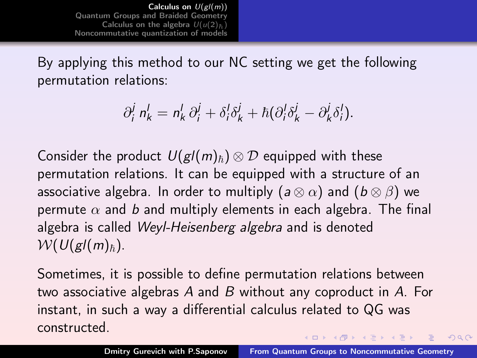[Calculus on](#page-2-0)  $U(gl(m))$ [Quantum Groups and Braided Geometry](#page-13-0) [Calculus on the algebra](#page-32-0)  $U(u(2))_5$ [Noncommutative quantization of models](#page-41-0)

By applying this method to our NC setting we get the following permutation relations:

$$
\partial_i^j n'_k = n'_k \partial_i^j + \delta_i^j \delta_k^j + \hbar (\partial_i^l \delta_k^j - \partial_k^j \delta_i^l).
$$

Consider the product  $U(gl(m)_\hbar)\otimes \mathcal{D}$  equipped with these permutation relations. It can be equipped with a structure of an associative algebra. In order to multiply ( $a \otimes \alpha$ ) and ( $b \otimes \beta$ ) we permute  $\alpha$  and b and multiply elements in each algebra. The final algebra is called Weyl-Heisenberg algebra and is denoted  $W(U(gl(m)_\hbar).$ 

Sometimes, it is possible to define permutation relations between two associative algebras A and B without any coproduct in A. For instant, in such a way a differential calculus related to QG was constructed.  $(1, 1)$   $(1, 1)$   $(1, 1)$   $(1, 1)$   $(1, 1)$   $(1, 1)$   $(1, 1)$   $(1, 1)$   $(1, 1)$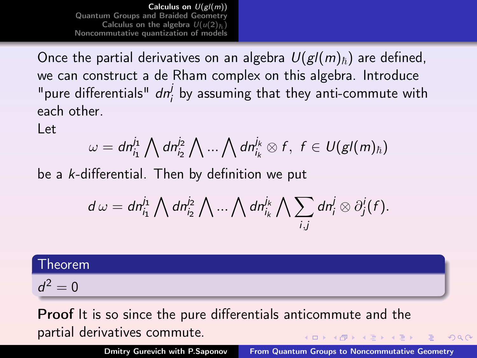[Calculus on](#page-2-0)  $U(g\overline{I(m)})$ [Quantum Groups and Braided Geometry](#page-13-0) [Calculus on the algebra](#page-32-0)  $U(u(2))_5$ [Noncommutative quantization of models](#page-41-0)

Once the partial derivatives on an algebra  $U(gl(m)_\hbar)$  are defined, we can construct a de Rham complex on this algebra. Introduce "pure differentials"  $dn_i^j$  by assuming that they anti-commute with each other.

Let

$$
\omega = dn_{i_1}^{j_1} \bigwedge dn_{i_2}^{j_2} \bigwedge ... \bigwedge dn_{i_k}^{j_k} \otimes f, \ f \in U(gl(m)_{\hbar})
$$

be a k-differential. Then by definition we put

$$
d\,\omega=dn_{i_1}^{j_1}\bigwedge dn_{i_2}^{j_2}\bigwedge\ldots\bigwedge dn_{i_k}^{j_k}\bigwedge\sum_{i,j}dn_i^j\otimes\partial_j^i(f).
$$

Theorem

 $d^2 = 0$ 

Proof It is so since the pure differentials anticommute and the partial derivatives commute. **≮ロト ⊀母 ▶ ⊀ ヨ ▶ ⊀ ヨ ▶** .

Dmitry Gurevich with P.Saponov [From Quantum Groups to Noncommutative Geometry](#page-0-0)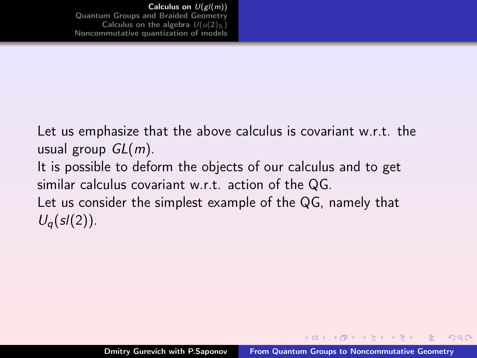Let us emphasize that the above calculus is covariant w.r.t. the usual group  $GL(m)$ . It is possible to deform the objects of our calculus and to get similar calculus covariant w.r.t. action of the QG. Let us consider the simplest example of the QG, namely that  $U_q(sl(2))$ .

 $(+)$   $(+)$   $(+)$   $(+)$   $(+)$   $(+)$   $(+)$   $(+)$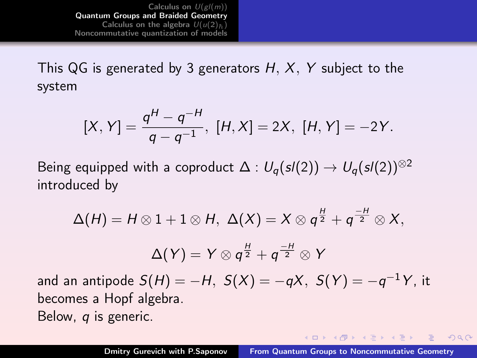<span id="page-13-0"></span>[Calculus on](#page-2-0)  $U(g/(m))$ [Quantum Groups and Braided Geometry](#page-13-0) [Calculus on the algebra](#page-32-0)  $U(u(2)_h)$ [Noncommutative quantization of models](#page-41-0)

This QG is generated by 3 generators  $H, X, Y$  subject to the system

$$
[X, Y] = \frac{q^{H} - q^{-H}}{q - q^{-1}}, [H, X] = 2X, [H, Y] = -2Y.
$$

Being equipped with a coproduct  $\Delta: U_{\alpha}(sl(2)) \to U_{\alpha}(sl(2))^{\otimes 2}$ introduced by

$$
\Delta(H) = H \otimes 1 + 1 \otimes H, \ \Delta(X) = X \otimes q^{\frac{H}{2}} + q^{\frac{-H}{2}} \otimes X,
$$

$$
\Delta(Y) = Y \otimes q^{\frac{H}{2}} + q^{\frac{-H}{2}} \otimes Y
$$
and an antipode  $S(H) = -H, \ S(X) = -qX, \ S(Y) = -q^{-1}Y$ , it

becomes a Hopf algebra. Below, q is generic.

 $(1, 1)$   $(1, 1)$   $(1, 1)$   $(1, 1)$   $(1, 1)$   $(1, 1)$   $(1, 1)$   $(1, 1)$   $(1, 1)$ 

 $2990$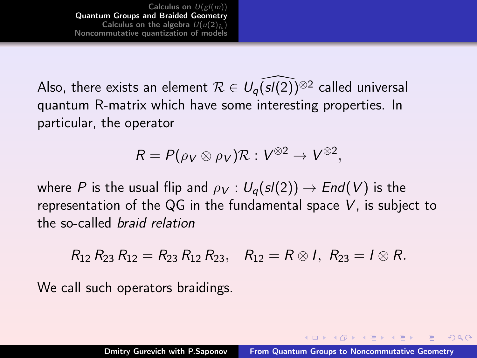[Calculus on](#page-2-0)  $U(gl(m))$ [Quantum Groups and Braided Geometry](#page-13-0) [Calculus on the algebra](#page-32-0)  $U(u(2)_h)$ [Noncommutative quantization of models](#page-41-0)

Also, there exists an element  $\mathcal{R} \in U_{q}(s/(2))^{\otimes 2}$  called universal quantum R-matrix which have some interesting properties. In particular, the operator

$$
R = P(\rho_V \otimes \rho_V) \mathcal{R} : V^{\otimes 2} \to V^{\otimes 2},
$$

where P is the usual flip and  $\rho_V : U_{q}(sl(2)) \rightarrow End(V)$  is the representation of the QG in the fundamental space V, is subject to the so-called braid relation

 $R_{12} R_{23} R_{12} = R_{23} R_{12} R_{23}$ ,  $R_{12} = R \otimes I$ ,  $R_{23} = I \otimes R$ .

We call such operators braidings.

 $(1, 1)$   $(1, 1)$   $(1, 1)$   $(1, 1)$   $(1, 1)$   $(1, 1)$   $(1, 1)$   $(1, 1)$   $(1, 1)$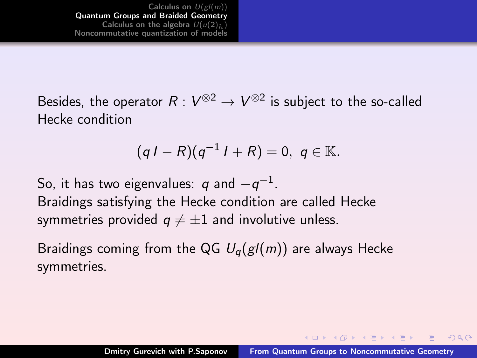Besides, the operator  $R: V^{\otimes 2} \to V^{\otimes 2}$  is subject to the so-called Hecke condition

$$
(qI - R)(q^{-1}I + R) = 0, q \in \mathbb{K}.
$$

So, it has two eigenvalues:  $\it q$  and  $-{\it q}^{-1}.$ Braidings satisfying the Hecke condition are called Hecke symmetries provided  $q \neq \pm 1$  and involutive unless.

Braidings coming from the QG  $U_q(g/(m))$  are always Hecke symmetries.

 $(1, 1)$   $(1, 1)$   $(1, 1)$   $(1, 1)$   $(1, 1)$   $(1, 1)$   $(1, 1)$   $(1, 1)$ 

 $OQ$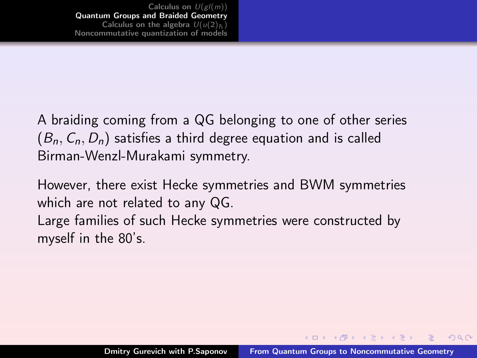A braiding coming from a QG belonging to one of other series  $(B_n, C_n, D_n)$  satisfies a third degree equation and is called Birman-Wenzl-Murakami symmetry.

However, there exist Hecke symmetries and BWM symmetries which are not related to any QG.

Large families of such Hecke symmetries were constructed by myself in the 80's.

 $(+)$   $(+)$   $(+)$   $(+)$   $(+)$   $(+)$   $(+)$   $(+)$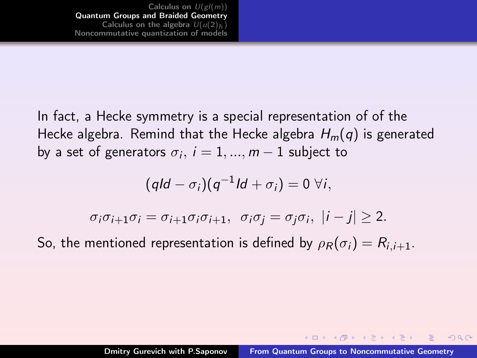In fact, a Hecke symmetry is a special representation of of the Hecke algebra. Remind that the Hecke algebra  $H_m(q)$  is generated by a set of generators  $\sigma_i,\,i=1,...,m-1$  subject to

$$
(qld - \sigma_i)(q^{-1}ld + \sigma_i) = 0 \ \forall i,
$$

$$
\sigma_i \sigma_{i+1} \sigma_i = \sigma_{i+1} \sigma_i \sigma_{i+1}, \quad \sigma_i \sigma_j = \sigma_j \sigma_i, \ |i - j| \geq 2.
$$

So, the mentioned representation is defined by  $\rho_R(\sigma_i) = R_{i,i+1}$ .

 $(1, 1)$   $(1, 1)$   $(1, 1)$   $(1, 1)$   $(1, 1)$   $(1, 1)$   $(1, 1)$   $(1, 1)$   $(1, 1)$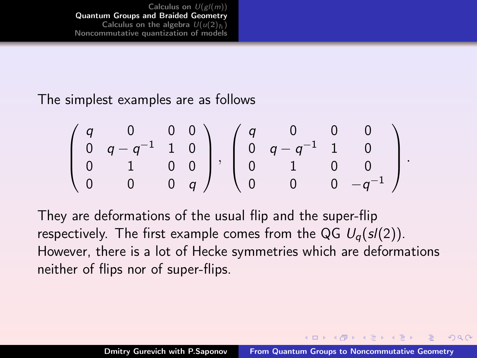[Calculus on](#page-2-0)  $U(gl(m))$ [Quantum Groups and Braided Geometry](#page-13-0) [Calculus on the algebra](#page-32-0)  $U(u(2)_h)$ [Noncommutative quantization of models](#page-41-0)

The simplest examples are as follows

$$
\left(\begin{array}{cccc}q&0&0&0\\0&q-q^{-1}&1&0\\0&1&0&0\\0&0&0&q\end{array}\right),\; \left(\begin{array}{cccc}q&0&0&0\\0&q-q^{-1}&1&0\\0&1&0&0\\0&0&0&q^{-1}\end{array}\right).
$$

They are deformations of the usual flip and the super-flip respectively. The first example comes from the QG  $U_{q}(s/(2))$ . However, there is a lot of Hecke symmetries which are deformations neither of flips nor of super-flips.

 $(1.1)$   $(1.1)$   $(1.1)$   $(1.1)$   $(1.1)$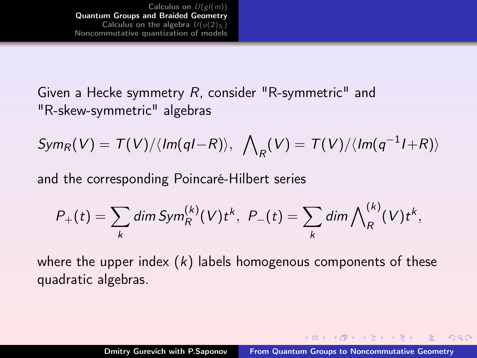[Calculus on](#page-2-0)  $U(gl(m))$ [Quantum Groups and Braided Geometry](#page-13-0) [Calculus on the algebra](#page-32-0)  $U(u(2)_h)$ [Noncommutative quantization of models](#page-41-0)

Given a Hecke symmetry R, consider "R-symmetric" and "R-skew-symmetric" algebras

$$
Sym_R(V) = T(V)/\langle Im(qI-R)\rangle, \ \ \bigwedge_R(V) = T(V)/\langle Im(q^{-1}I+R)\rangle
$$

and the corresponding Poincaré-Hilbert series

$$
P_{+}(t) = \sum_{k} \dim Sym_{R}^{(k)}(V) t^{k}, \ P_{-}(t) = \sum_{k} \dim \bigwedge_{R}^{(k)}(V) t^{k},
$$

where the upper index  $(k)$  labels homogenous components of these quadratic algebras.

 $(1, 1)$   $(1, 1)$   $(1, 1)$   $(1, 1)$   $(1, 1)$   $(1, 1)$   $(1, 1)$   $(1, 1)$   $(1, 1)$ 

 $OQ$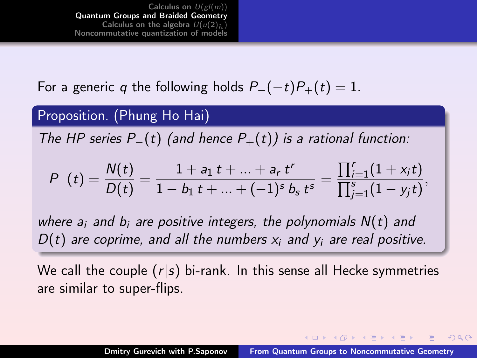[Calculus on](#page-2-0)  $U(gl(m))$ [Quantum Groups and Braided Geometry](#page-13-0) [Calculus on the algebra](#page-32-0)  $U(u(2))_5$ [Noncommutative quantization of models](#page-41-0)

For a generic q the following holds  $P_{-}(-t)P_{+}(t) = 1$ .

#### Proposition. (Phung Ho Hai)

The HP series  $P_-(t)$  (and hence  $P_+(t)$ ) is a rational function:

$$
P_{-}(t) = \frac{N(t)}{D(t)} = \frac{1 + a_1 t + \ldots + a_r t^r}{1 - b_1 t + \ldots + (-1)^s b_s t^s} = \frac{\prod_{i=1}^r (1 + x_i t)}{\prod_{j=1}^s (1 - y_j t)},
$$

where  $a_i$  and  $b_i$  are positive integers, the polynomials  $N(t)$  and  $D(t)$  are coprime, and all the numbers  $x_i$  and  $y_i$  are real positive.

We call the couple  $(r|s)$  bi-rank. In this sense all Hecke symmetries are similar to super-flips.

 $(1, 1)$   $(1, 1)$   $(1, 1)$   $(1, 1)$   $(1, 1)$   $(1, 1)$   $(1, 1)$   $(1, 1)$   $(1, 1)$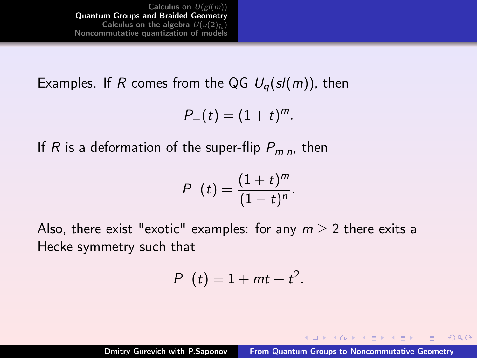[Calculus on](#page-2-0)  $U(gl(m))$ [Quantum Groups and Braided Geometry](#page-13-0) [Calculus on the algebra](#page-32-0)  $U(u(2)_h)$ [Noncommutative quantization of models](#page-41-0)

Examples. If R comes from the QG  $U_q(sl(m))$ , then

$$
P_{-}(t)=(1+t)^m.
$$

If  $R$  is a deformation of the super-flip  $P_{m|n}$ , then

$$
P_{-}(t) = \frac{(1+t)^m}{(1-t)^n}.
$$

Also, there exist "exotic" examples: for any  $m \geq 2$  there exits a Hecke symmetry such that

$$
P_{-}(t)=1+mt+t^2.
$$

 $(1, 1)$   $(1, 1)$   $(1, 1)$   $(1, 1)$   $(1, 1)$   $(1, 1)$   $(1, 1)$   $(1, 1)$   $(1, 1)$ 

 $2Q$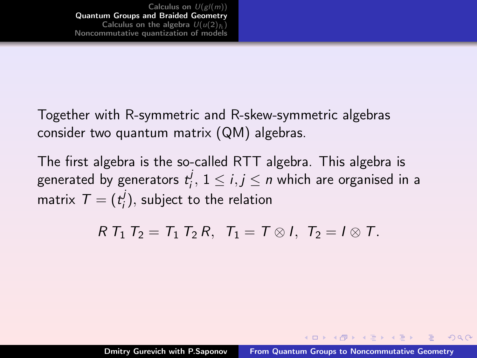Together with R-symmetric and R-skew-symmetric algebras consider two quantum matrix (QM) algebras.

The first algebra is the so-called RTT algebra. This algebra is generated by generators  $t_i^j$  $i_j^J$ ,  $1 \le i, j \le n$  which are organised in a matrix  $\mathcal{T}=(t_i^j)$  $\mathcal{G}'_i$ ), subject to the relation

 $R T_1 T_2 = T_1 T_2 R$ ,  $T_1 = T \otimes I$ ,  $T_2 = I \otimes T$ .

イロメ マ母 トマ ミメ マ ミメー

 $OQ$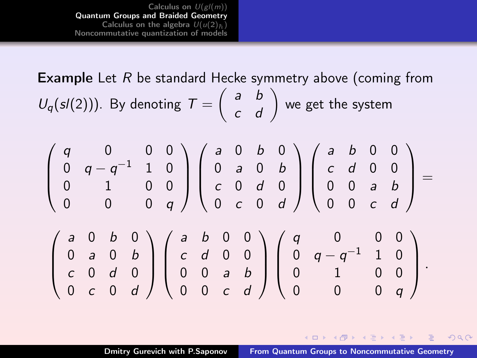[Calculus on](#page-2-0)  $U(gl(m))$ [Quantum Groups and Braided Geometry](#page-13-0) [Calculus on the algebra](#page-32-0)  $U(u(2)_h)$ [Noncommutative quantization of models](#page-41-0)

**Example** Let  $R$  be standard Hecke symmetry above (coming from  $U_q(sl(2)))$ . By denoting  $T=\left(\begin{array}{cc} a & b \ c & d \end{array}\right)$  we get the system

$$
\begin{pmatrix} q & 0 & 0 & 0 \\ 0 & q - q^{-1} & 1 & 0 \\ 0 & 1 & 0 & 0 \\ 0 & 0 & 0 & q \end{pmatrix} \begin{pmatrix} a & 0 & b & 0 \\ 0 & a & 0 & b \\ c & 0 & d & 0 \\ 0 & c & 0 & d \end{pmatrix} \begin{pmatrix} a & b & 0 & 0 \\ c & d & 0 & 0 \\ 0 & 0 & a & b \\ 0 & 0 & c & d \end{pmatrix} = \begin{pmatrix} a & 0 & b & 0 \\ 0 & 0 & a & b \\ 0 & 0 & c & d \end{pmatrix}
$$

$$
\begin{pmatrix} a & 0 & b & 0 \\ 0 & a & 0 & b \\ c & 0 & d & 0 \\ 0 & c & 0 & d \end{pmatrix} \begin{pmatrix} a & b & 0 & 0 \\ c & d & 0 & 0 \\ 0 & 0 & a & b \\ 0 & 0 & c & d \end{pmatrix} \begin{pmatrix} q & 0 & 0 & 0 \\ 0 & q - q^{-1} & 1 & 0 \\ 0 & 1 & 0 & 0 \\ 0 & 0 & 0 & q \end{pmatrix}.
$$

**K ロ ▶ ( 伊 ) ( モ ) ( モ )** 

 $2Q$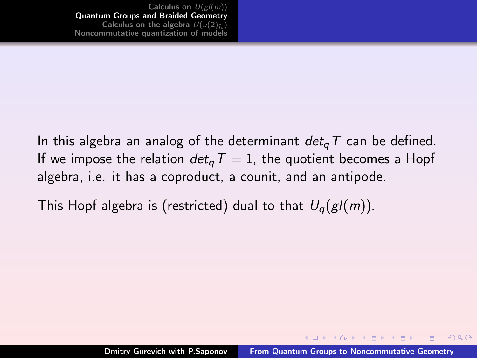In this algebra an analog of the determinant  $det_{\alpha}T$  can be defined. If we impose the relation  $det_{\sigma}T = 1$ , the quotient becomes a Hopf algebra, i.e. it has a coproduct, a counit, and an antipode.

This Hopf algebra is (restricted) dual to that  $U_q(g/(m))$ .

イロメ イ母 トラ ミュース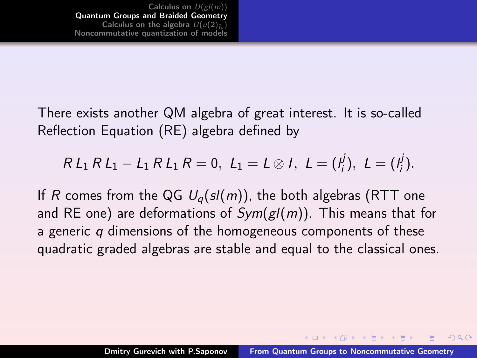There exists another QM algebra of great interest. It is so-called Reflection Equation (RE) algebra defined by

$$
R L_1 R L_1 - L_1 R L_1 R = 0, L_1 = L \otimes I, L = (I_j^j), L = (I_j^j).
$$

If R comes from the QG  $U_q(sl(m))$ , the both algebras (RTT one and RE one) are deformations of  $Sym(g/(m))$ . This means that for a generic  $q$  dimensions of the homogeneous components of these quadratic graded algebras are stable and equal to the classical ones.

 $(1,1)$   $(1,1)$   $(1,1)$   $(1,1)$   $(1,1)$   $(1,1)$   $(1,1)$   $(1,1)$   $(1,1)$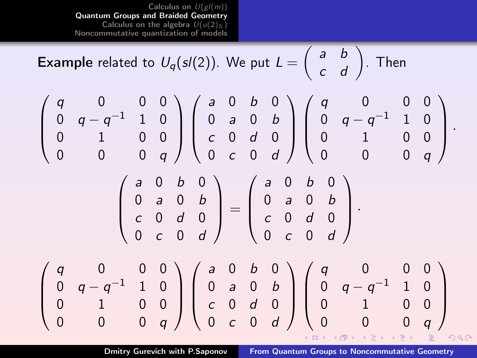[Calculus on](#page-2-0)  $U(gl(m))$ [Quantum Groups and Braided Geometry](#page-13-0) [Calculus on the algebra](#page-32-0)  $U(u(2)_h)$ [Noncommutative quantization of models](#page-41-0)

**Example** related to  $U_q(sl(2))$ . We put  $L = \begin{pmatrix} a & b \ c & d \end{pmatrix}$ . Then  $\sqrt{ }$ q 0 0 0  $\setminus$  $\sqrt{ }$ a 0 b 0  $\setminus$  $\sqrt{ }$ q 0 0 0  $\setminus$  $0$   $q-q^{-1}$   $1$   $0$  $0$   $q-q^{-1}$   $1$   $0$ 0 a 0 b  $\overline{\phantom{a}}$  $\Big\}$  $\overline{\phantom{a}}$  $\Big\}$  $\overline{\phantom{a}}$  $\int$ 0 1 0 0 c 0 d 0 0 1 0 0 0 0 0 q 0 c 0 d 0 0 0 q  $\sqrt{ }$ a 0 b 0  $\setminus$  $\sqrt{ }$ a 0 b 0  $\setminus$ 0 a 0 b 0 a 0 b  $\vert$  $\Bigg) =$  $\vert$  $\Bigg\}$ c 0 d 0 c 0 d 0 0 c 0 d 0 c 0 d  $\sqrt{ }$ q 0 0 0  $\setminus$  $\sqrt{ }$ a 0 b 0  $\setminus$  $\sqrt{ }$ q 0 0 0  $\setminus$  $0$   $q-q^{-1}$   $1$   $0$  $0 \quad q-q^{-1} \quad 1 \quad 0$ 0 a 0 b  $\vert$  $\Bigg\}$  $\vert$  $\Bigg\}$  $\vert$  $\Bigg\}$ 0 1 0 0 c 0 d 0 0 1 0 0 0 0 0 q 0 c 0 d 0 0 0 q  $2QQ$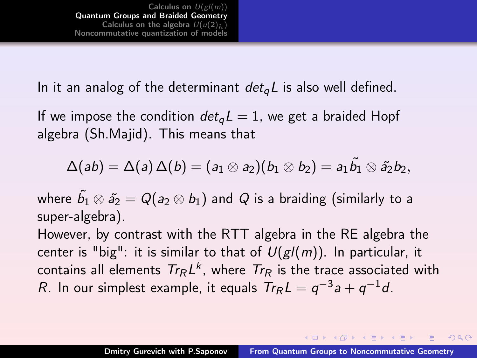In it an analog of the determinant  $det_{\alpha}L$  is also well defined.

If we impose the condition  $det_q L = 1$ , we get a braided Hopf algebra (Sh.Majid). This means that

$$
\Delta(ab)=\Delta(a)\,\Delta(b)=(a_1\otimes a_2)(b_1\otimes b_2)=a_1\tilde{b_1}\otimes \tilde{a_2}b_2,
$$

where  $\widetilde{b_1}\otimes \widetilde{a_2}=\mathit{Q}(\mathit{a}_2\otimes \mathit{b}_1)$  and  $\mathit{Q}$  is a braiding (similarly to a super-algebra).

However, by contrast with the RTT algebra in the RE algebra the center is "big": it is similar to that of  $U(gl(m))$ . In particular, it contains all elements  $\mathcal{T}_{\mathcal{R}}$  L<sup>k</sup>, where  $\mathcal{T}_{\mathcal{R}}$  is the trace associated with R. In our simplest example, it equals  $Tr_R L = q^{-3} a + q^{-1} d$ .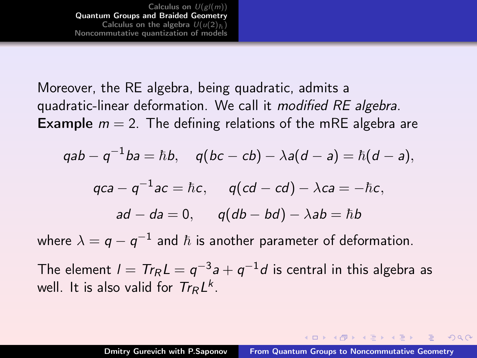Moreover, the RE algebra, being quadratic, admits a quadratic-linear deformation. We call it modified RE algebra. **Example**  $m = 2$ . The defining relations of the mRE algebra are

$$
\mathsf{q}ab-\mathsf{q}^{-1}ba=\hbar b,\quad \mathsf{q}(bc-cb)-\lambda\mathsf{a}(d-a)=\hbar(d-a),
$$

$$
qca - q^{-1}ac = \hbar c, \qquad q(cd - cd) - \lambda ca = -\hbar c,
$$
  
ad - da = 0, \qquad q(db - bd) - \lambda ab = \hbar b

where  $\lambda=q-q^{-1}$  and  $\hbar$  is another parameter of deformation.

The element  $l = T r_R L = q^{-3} a + q^{-1} d$  is central in this algebra as well. It is also valid for  $Tr_R L^k$ .

 $(0,1)$   $(0,1)$   $(0,1)$   $(1,1)$   $(1,1)$   $(1,1)$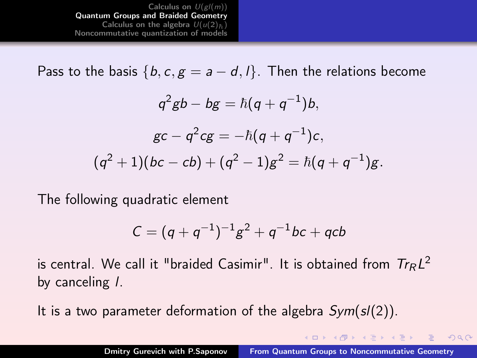[Calculus on](#page-2-0)  $U(g/(m))$ [Quantum Groups and Braided Geometry](#page-13-0) [Calculus on the algebra](#page-32-0)  $U(u(2)_h)$ [Noncommutative quantization of models](#page-41-0)

Pass to the basis  $\{b, c, g = a - d, l\}$ . Then the relations become

$$
q^{2}gb - bg = \hbar(q + q^{-1})b,
$$
  
\n
$$
gc - q^{2}cg = -\hbar(q + q^{-1})c,
$$
  
\n
$$
(q^{2} + 1)(bc - cb) + (q^{2} - 1)g^{2} = \hbar(q + q^{-1})g.
$$

The following quadratic element

$$
C = (q + q^{-1})^{-1}g^2 + q^{-1}bc + qcb
$$

is central. We call it "braided Casimir". It is obtained from  $\mathcal{T}\mathcal{T}_{\mathcal{R}}L^2$ by canceling l.

It is a two parameter deformation of the algebra  $Sym(s/(2))$ .

 $(1, 1)$   $(1, 1)$   $(1, 1)$   $(1, 1)$   $(1, 1)$   $(1, 1)$   $(1, 1)$   $(1, 1)$   $(1, 1)$ 

 $2Q$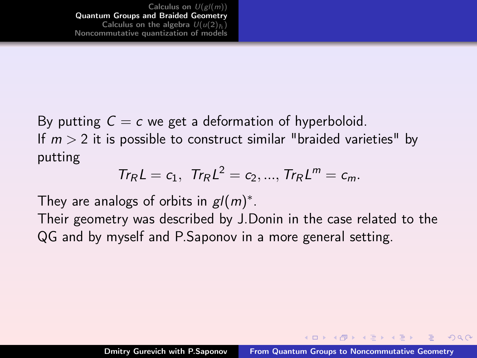By putting  $C = c$  we get a deformation of hyperboloid. If  $m > 2$  it is possible to construct similar "braided varieties" by putting

$$
Tr_{R}L = c_{1}, Tr_{R}L^{2} = c_{2}, ..., Tr_{R}L^{m} = c_{m}.
$$

They are analogs of orbits in  $gl(m)^*$ .

Their geometry was described by J.Donin in the case related to the QG and by myself and P.Saponov in a more general setting.

 $(1, 1)$   $(1, 1)$   $(1, 1)$   $(1, 1)$   $(1, 1)$   $(1, 1)$   $(1, 1)$   $(1, 1)$   $(1, 1)$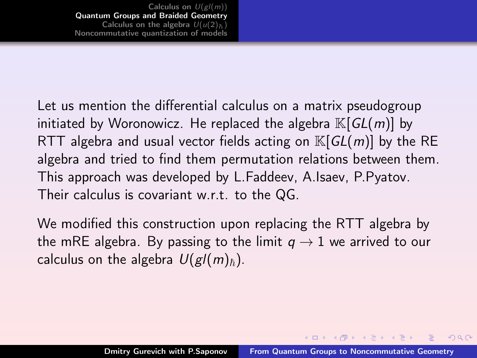Let us mention the differential calculus on a matrix pseudogroup initiated by Woronowicz. He replaced the algebra  $\mathbb{K}[GL(m)]$  by RTT algebra and usual vector fields acting on  $\mathbb{K}[GL(m)]$  by the RE algebra and tried to find them permutation relations between them. This approach was developed by L.Faddeev, A.Isaev, P.Pyatov. Their calculus is covariant w.r.t. to the QG.

We modified this construction upon replacing the RTT algebra by the mRE algebra. By passing to the limit  $q \rightarrow 1$  we arrived to our calculus on the algebra  $U(gl(m)_\hbar)$ .

イロメ イ母 トラ ミュース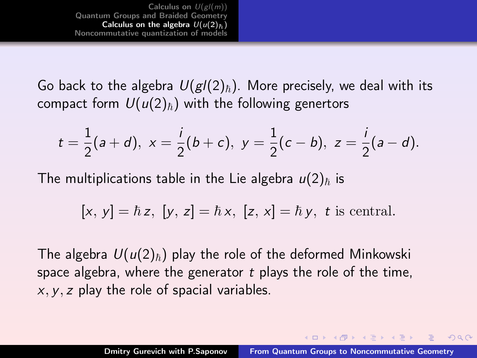<span id="page-32-0"></span>[Calculus on](#page-2-0)  $U(gl(m))$ [Quantum Groups and Braided Geometry](#page-13-0) [Calculus on the algebra](#page-32-0)  $U(u(2))$ [Noncommutative quantization of models](#page-41-0)

Go back to the algebra  $U(gl(2)_\hbar)$ . More precisely, we deal with its compact form  $U(u(2)_\hbar)$  with the following genertors

$$
t = \frac{1}{2}(a+d), x = \frac{i}{2}(b+c), y = \frac{1}{2}(c-b), z = \frac{i}{2}(a-d).
$$

The multiplications table in the Lie algebra  $u(2)_{\hbar}$  is

$$
[x, y] = \hbar z, [y, z] = \hbar x, [z, x] = \hbar y, t \text{ is central.}
$$

The algebra  $U(u(2)_\hbar)$  play the role of the deformed Minkowski space algebra, where the generator  $t$  plays the role of the time,  $x, y, z$  play the role of spacial variables.

 $(0,1)$   $(0,1)$   $(0,1)$   $(1,1)$   $(1,1)$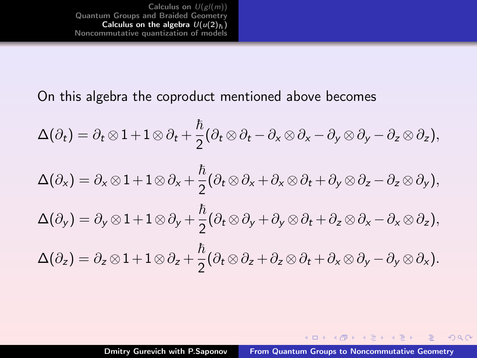On this algebra the coproduct mentioned above becomes

$$
\Delta(\partial_t) = \partial_t \otimes 1 + 1 \otimes \partial_t + \frac{\hbar}{2} (\partial_t \otimes \partial_t - \partial_x \otimes \partial_x - \partial_y \otimes \partial_y - \partial_z \otimes \partial_z),
$$
  

$$
\Delta(\partial_x) = \partial_x \otimes 1 + 1 \otimes \partial_x + \frac{\hbar}{2} (\partial_t \otimes \partial_x + \partial_x \otimes \partial_t + \partial_y \otimes \partial_z - \partial_z \otimes \partial_y),
$$
  

$$
\Delta(\partial_y) = \partial_y \otimes 1 + 1 \otimes \partial_y + \frac{\hbar}{2} (\partial_t \otimes \partial_y + \partial_y \otimes \partial_t + \partial_z \otimes \partial_x - \partial_x \otimes \partial_z),
$$
  

$$
\Delta(\partial_z) = \partial_z \otimes 1 + 1 \otimes \partial_z + \frac{\hbar}{2} (\partial_t \otimes \partial_z + \partial_z \otimes \partial_t + \partial_x \otimes \partial_y - \partial_y \otimes \partial_x).
$$

 $A \Box B$   $A$   $B$   $B$   $A$   $B$   $B$   $A$   $E$   $B$   $A$ 

 $2990$ 

目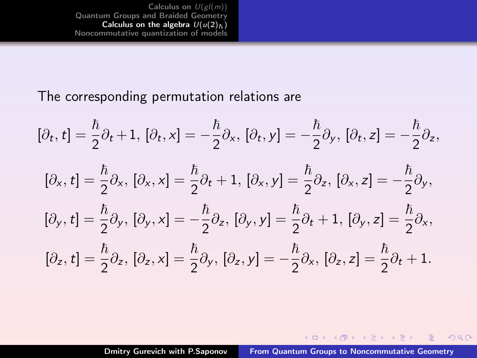[Calculus on](#page-2-0)  $U(gl(m))$ <br>[Quantum Groups and Braided Geometry](#page-13-0) **[Calculus on the algebra](#page-32-0)**  $U(u(2)_h)$ <br>[Noncommutative quantization of models](#page-41-0)

#### The corresponding permutation relations are

$$
[\partial_t, t] = \frac{\hbar}{2} \partial_t + 1, [\partial_t, x] = -\frac{\hbar}{2} \partial_x, [\partial_t, y] = -\frac{\hbar}{2} \partial_y, [\partial_t, z] = -\frac{\hbar}{2} \partial_z,
$$
  

$$
[\partial_x, t] = \frac{\hbar}{2} \partial_x, [\partial_x, x] = \frac{\hbar}{2} \partial_t + 1, [\partial_x, y] = \frac{\hbar}{2} \partial_z, [\partial_x, z] = -\frac{\hbar}{2} \partial_y,
$$
  

$$
[\partial_y, t] = \frac{\hbar}{2} \partial_y, [\partial_y, x] = -\frac{\hbar}{2} \partial_z, [\partial_y, y] = \frac{\hbar}{2} \partial_t + 1, [\partial_y, z] = \frac{\hbar}{2} \partial_x,
$$
  

$$
[\partial_z, t] = \frac{\hbar}{2} \partial_z, [\partial_z, x] = \frac{\hbar}{2} \partial_y, [\partial_z, y] = -\frac{\hbar}{2} \partial_x, [\partial_z, z] = \frac{\hbar}{2} \partial_t + 1.
$$

Dmitry Gurevich with P.Saponov [From Quantum Groups to Noncommutative Geometry](#page-0-0)

 $A \Box B$   $A$   $B$   $B$   $A$   $B$   $B$   $A$   $E$   $B$   $A$ 

 $2990$ 

目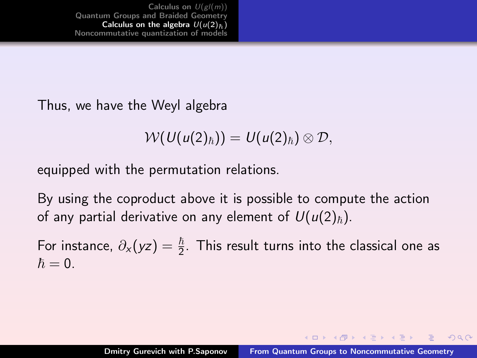Thus, we have the Weyl algebra

$$
\mathcal{W}(U(u(2)_\hbar))=U(u(2)_\hbar)\otimes \mathcal{D},
$$

equipped with the permutation relations.

By using the coproduct above it is possible to compute the action of any partial derivative on any element of  $U(u(2)_\hbar)$ .

For instance,  $\partial_{\mathsf{x}}(\mathsf{y}\mathsf{z}) = \frac{\hbar}{2}$ . This result turns into the classical one as  $\hbar = 0.$ 

**K ロ ▶ ( 伊 ) ( モ ) ( モ )**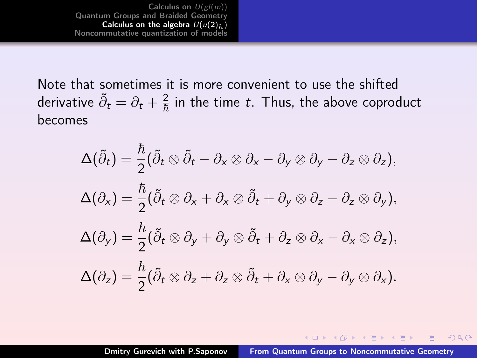[Calculus on](#page-2-0)  $U(gl(m))$ <br>[Quantum Groups and Braided Geometry](#page-13-0) [Calculus on the algebra](#page-32-0)  $U(u(2)_h)$ [Noncommutative quantization of models](#page-41-0)

Note that sometimes it is more convenient to use the shifted derivative  $\tilde{\partial}_t = \partial_t + \frac{2}{\hbar}$  in the time  $t.$  Thus, the above coproduct becomes

$$
\Delta(\tilde{\partial}_t) = \frac{\hbar}{2} (\tilde{\partial}_t \otimes \tilde{\partial}_t - \partial_x \otimes \partial_x - \partial_y \otimes \partial_y - \partial_z \otimes \partial_z),
$$
  

$$
\Delta(\partial_x) = \frac{\hbar}{2} (\tilde{\partial}_t \otimes \partial_x + \partial_x \otimes \tilde{\partial}_t + \partial_y \otimes \partial_z - \partial_z \otimes \partial_y),
$$
  

$$
\Delta(\partial_y) = \frac{\hbar}{2} (\tilde{\partial}_t \otimes \partial_y + \partial_y \otimes \tilde{\partial}_t + \partial_z \otimes \partial_x - \partial_x \otimes \partial_z),
$$
  

$$
\Delta(\partial_z) = \frac{\hbar}{2} (\tilde{\partial}_t \otimes \partial_z + \partial_z \otimes \tilde{\partial}_t + \partial_x \otimes \partial_y - \partial_y \otimes \partial_x).
$$

**K ロ ▶ K 御 ▶ K 君 ▶ K 君 ▶** 

 $2Q$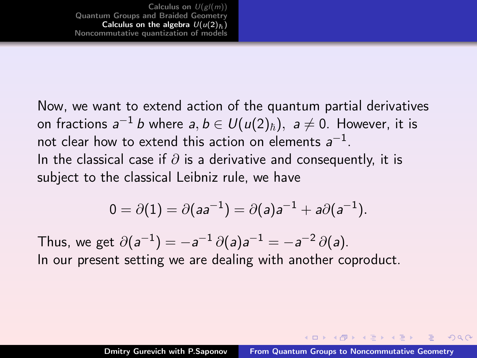Now, we want to extend action of the quantum partial derivatives on fractions  $a^{-1}\,b$  where  $a,b\in\mathit{U}(\mathit{u}(2)_\hbar),\,\,a\neq0.$  However, it is not clear how to extend this action on elements  $\mathsf{a}^{-1}.$ In the classical case if  $\partial$  is a derivative and consequently, it is subject to the classical Leibniz rule, we have

$$
0=\partial(1)=\partial(aa^{-1})=\partial(a)a^{-1}+a\partial(a^{-1}).
$$

Thus, we get  $\partial(a^{-1}) = -a^{-1} \partial(a) a^{-1} = -a^{-2} \partial(a)$ . In our present setting we are dealing with another coproduct.

 $(1, 1)$   $(1, 1)$   $(1, 1)$   $(1, 1)$   $(1, 1)$   $(1, 1)$   $(1, 1)$   $(1, 1)$   $(1, 1)$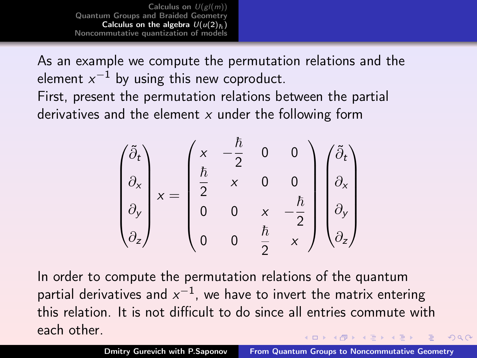[Calculus on](#page-2-0)  $U(gl(m))$ [Quantum Groups and Braided Geometry](#page-13-0) [Calculus on the algebra](#page-32-0)  $U(u(2))$ [Noncommutative quantization of models](#page-41-0)

As an example we compute the permutation relations and the element  $\rm{x}^{-1}$  by using this new coproduct.

First, present the permutation relations between the partial derivatives and the element  $x$  under the following form

$$
\begin{pmatrix}\n\tilde{\partial}_t \\
\partial_x \\
\partial_y \\
\partial_z\n\end{pmatrix} x = \begin{pmatrix}\nx & -\frac{\hbar}{2} & 0 & 0 \\
\frac{\hbar}{2} & x & 0 & 0 \\
0 & 0 & x & -\frac{\hbar}{2} \\
0 & 0 & \frac{\hbar}{2} & x\n\end{pmatrix} \begin{pmatrix}\n\tilde{\partial}_t \\
\partial_x \\
\partial_y \\
\partial_z\n\end{pmatrix}
$$

In order to compute the permutation relations of the quantum partial derivatives and  $\rm{x}^{-1}$ , we have to invert the matrix entering this relation. It is not difficult to do since all entries commute with each other.  $(1, 1)$   $(1, 1)$   $(1, 1)$   $(1, 1)$   $(1, 1)$   $(1, 1)$   $(1, 1)$   $(1, 1)$   $(1, 1)$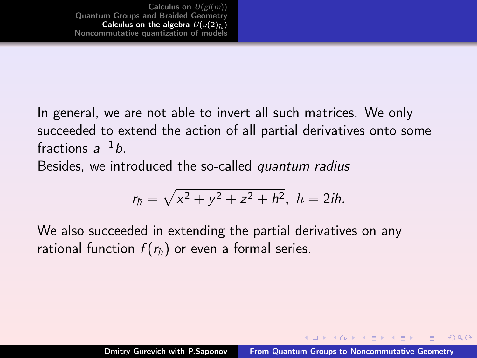In general, we are not able to invert all such matrices. We only succeeded to extend the action of all partial derivatives onto some fractions  $a^{-1}b$ .

Besides, we introduced the so-called quantum radius

$$
r_{\hbar} = \sqrt{x^2 + y^2 + z^2 + h^2}, \ \hbar = 2ih.
$$

We also succeeded in extending the partial derivatives on any rational function  $f(r_{\hbar})$  or even a formal series.

 $(1)$   $(1)$   $(1)$   $(1)$   $(1)$   $(1)$   $(1)$   $(1)$   $(1)$   $(1)$   $(1)$   $(1)$   $(1)$   $(1)$   $(1)$   $(1)$   $(1)$   $(1)$   $(1)$   $(1)$   $(1)$   $(1)$   $(1)$   $(1)$   $(1)$   $(1)$   $(1)$   $(1)$   $(1)$   $(1)$   $(1)$   $(1)$   $(1)$   $(1)$   $(1)$   $(1)$   $(1)$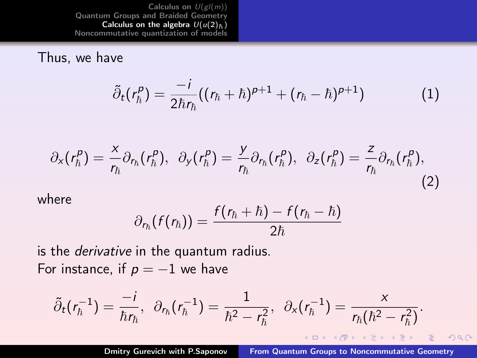[Calculus on](#page-2-0)  $U(gl(m))$ [Quantum Groups and Braided Geometry](#page-13-0) [Calculus on the algebra](#page-32-0)  $U(u(2)_{\hbar})$ [Noncommutative quantization of models](#page-41-0)

#### Thus, we have

$$
\tilde{\partial}_t(r_h^p) = \frac{-i}{2\hbar r_h}((r_h+\hbar)^{p+1} + (r_h-\hbar)^{p+1})\tag{1}
$$

$$
\partial_x(r_\hbar^p) = \frac{x}{r_\hbar} \partial_{r_\hbar}(r_\hbar^p), \ \ \partial_y(r_\hbar^p) = \frac{y}{r_\hbar} \partial_{r_\hbar}(r_\hbar^p), \ \ \partial_z(r_\hbar^p) = \frac{z}{r_\hbar} \partial_{r_\hbar}(r_\hbar^p), \tag{2}
$$

where

$$
\partial_{r_{\hbar}}(f(r_{\hbar}))=\frac{f(r_{\hbar}+\hbar)-f(r_{\hbar}-\hbar)}{2\hbar}
$$

is the derivative in the quantum radius. For instance, if  $p = -1$  we have

$$
\tilde{\partial}_t(r_{\hbar}^{-1})=\frac{-i}{\hbar r_{\hbar}},\ \ \partial_{r_{\hbar}}(r_{\hbar}^{-1})=\frac{1}{\hbar^2-r_{\hbar}^2},\ \ \partial_{\mathsf{x}}(r_{\hbar}^{-1})=\frac{\mathsf{x}}{r_{\hbar}(\hbar^2-r_{\hbar}^2)}.
$$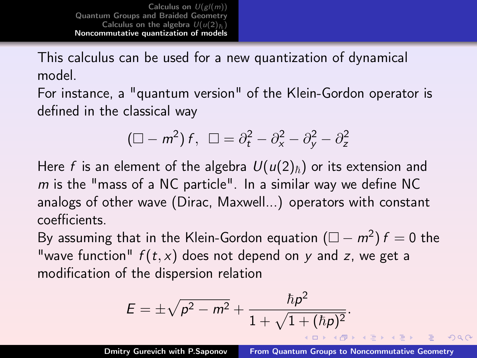<span id="page-41-0"></span>[Calculus on](#page-2-0)  $U(gl(m))$ [Quantum Groups and Braided Geometry](#page-13-0) [Calculus on the algebra](#page-32-0)  $U(u(2))_E$ [Noncommutative quantization of models](#page-41-0)

This calculus can be used for a new quantization of dynamical model.

For instance, a "quantum version" of the Klein-Gordon operator is defined in the classical way

$$
(\Box - m^2) f, \ \Box = \partial_t^2 - \partial_x^2 - \partial_y^2 - \partial_z^2
$$

Here f is an element of the algebra  $U(u(2)_\hbar)$  or its extension and  $m$  is the "mass of a NC particle". In a similar way we define NC analogs of other wave (Dirac, Maxwell...) operators with constant coefficients.

By assuming that in the Klein-Gordon equation  $(\Box - m^2) f = 0$  the "wave function"  $f(t, x)$  does not depend on y and z, we get a modification of the dispersion relation

$$
E = \pm \sqrt{p^2 - m^2} + \frac{\hbar p^2}{1 + \sqrt{1 + (\hbar p)^2}}.
$$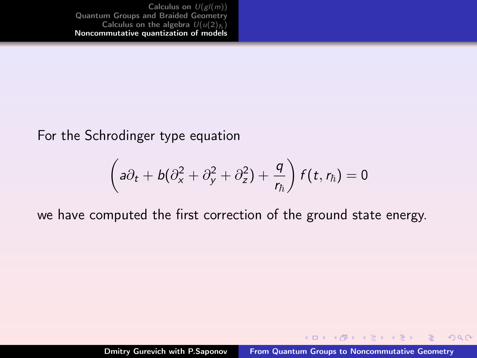[Calculus on](#page-2-0)  $U(gl(m))$ <br>[Quantum Groups and Braided Geometry](#page-13-0) [Calculus on the algebra](#page-32-0)  $U(u(2))_5$ [Noncommutative quantization of models](#page-41-0)

For the Schrodinger type equation

$$
\left(a\partial_t + b(\partial_x^2 + \partial_y^2 + \partial_z^2) + \frac{q}{r_\hbar}\right) f(t, r_\hbar) = 0
$$

we have computed the first correction of the ground state energy.

 $4\Box$   $\rightarrow$   $4\Box$   $\rightarrow$   $\rightarrow$   $\rightarrow$   $\rightarrow$   $\rightarrow$ 

 $2Q$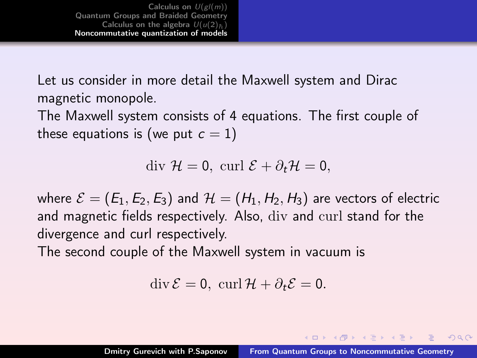[Calculus on](#page-2-0)  $U(gl(m))$ [Quantum Groups and Braided Geometry](#page-13-0) [Calculus on the algebra](#page-32-0)  $U(u(2))_+$ [Noncommutative quantization of models](#page-41-0)

Let us consider in more detail the Maxwell system and Dirac magnetic monopole.

The Maxwell system consists of 4 equations. The first couple of these equations is (we put  $c = 1$ )

div  $\mathcal{H} = 0$ , curl  $\mathcal{E} + \partial_t \mathcal{H} = 0$ .

where  $\mathcal{E} = (E_1, E_2, E_3)$  and  $\mathcal{H} = (H_1, H_2, H_3)$  are vectors of electric and magnetic fields respectively. Also, div and curl stand for the divergence and curl respectively.

The second couple of the Maxwell system in vacuum is

 $\operatorname{div} \mathcal{E} = 0$ ,  $\operatorname{curl} \mathcal{H} + \partial_t \mathcal{E} = 0$ .

 $(1, 1)$   $(1, 1)$   $(1, 1)$   $(1, 1)$   $(1, 1)$   $(1, 1)$   $(1, 1)$   $(1, 1)$   $(1, 1)$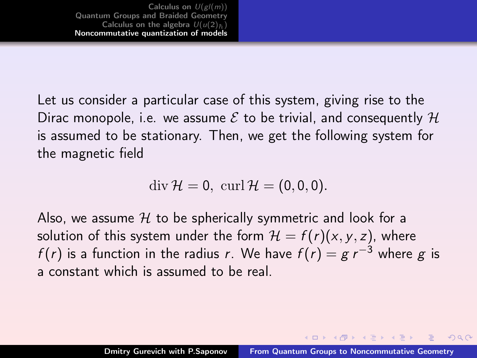Let us consider a particular case of this system, giving rise to the Dirac monopole, i.e. we assume  $\mathcal E$  to be trivial, and consequently  $\mathcal H$ is assumed to be stationary. Then, we get the following system for the magnetic field

$$
\operatorname{div} \mathcal{H}=0, \, \operatorname{curl} \mathcal{H}=(0,0,0).
$$

Also, we assume  $H$  to be spherically symmetric and look for a solution of this system under the form  $\mathcal{H} = f(r)(x, y, z)$ , where  $f(r)$  is a function in the radius r. We have  $f(r) = g r^{-3}$  where g is a constant which is assumed to be real.

イロメ イ母 トラ ミュース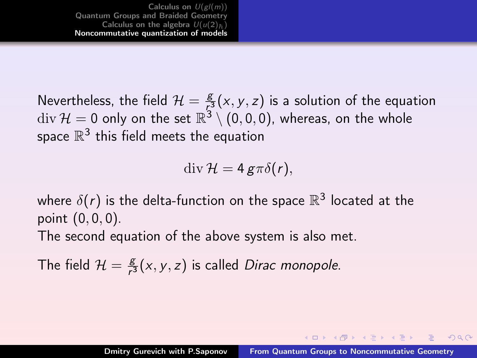Nevertheless, the field  $\mathcal{H} = \frac{g}{\sqrt{2}}$  $\frac{g}{\mathcal{F}^3}(x,y,z)$  is a solution of the equation  $\mathrm{div}\,\mathcal{H}=0$  only on the set  $\mathbb{R}^3\setminus(0,0,0)$ , whereas, on the whole space  $\mathbb{R}^3$  this field meets the equation

 $\mathrm{div}\,\mathcal{H}=4\,\mathrm{g}\pi\delta(r),$ 

where  $\delta(r)$  is the delta-function on the space  $\mathbb{R}^3$  located at the point (0, 0, 0). The second equation of the above system is also met.

The field  $\mathcal{H} = \frac{g}{\epsilon^3}$  $\frac{g}{r^3}(x, y, z)$  is called *Dirac monopole*.

 $(0,1)$   $(0,1)$   $(0,1)$   $(1,1)$   $(1,1)$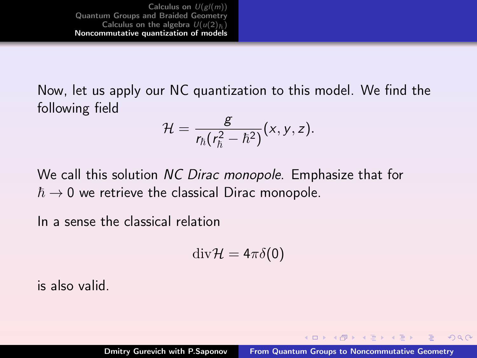[Calculus on](#page-2-0)  $U(gl(m))$ [Quantum Groups and Braided Geometry](#page-13-0) [Calculus on the algebra](#page-32-0)  $U(u(2))_5$ [Noncommutative quantization of models](#page-41-0)

Now, let us apply our NC quantization to this model. We find the following field

$$
\mathcal{H}=\frac{g}{r_{\hbar}(r_{\hbar}^2-\hbar^2)}(x,y,z).
$$

We call this solution NC Dirac monopole. Emphasize that for  $\hbar \rightarrow 0$  we retrieve the classical Dirac monopole.

In a sense the classical relation

$$
\mathrm{div}\mathcal{H}=4\pi\delta(0)
$$

is also valid.

 $(1, 1)$   $(1, 1)$   $(1, 1)$   $(1, 1)$   $(1, 1)$   $(1, 1)$   $(1, 1)$   $(1, 1)$   $(1, 1)$ 

 $OQ$